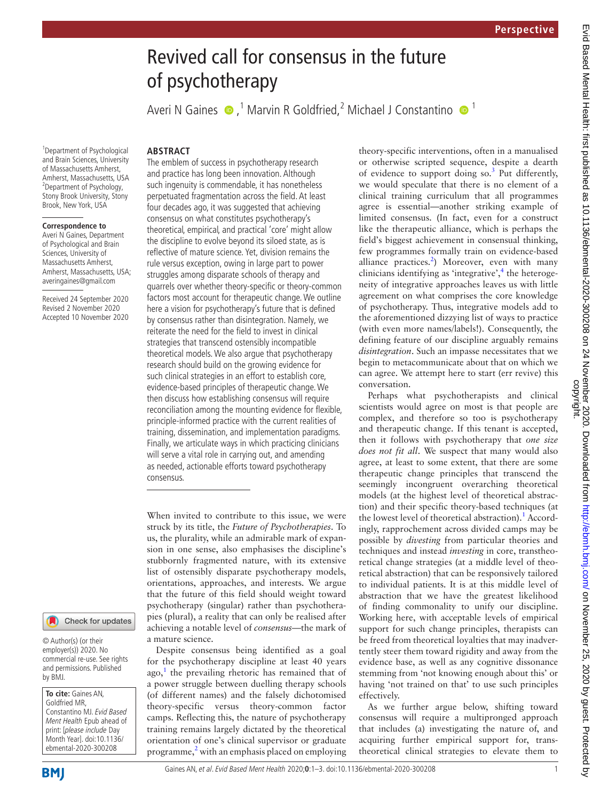# Evid Based Mental Health: first published as 10.1136/ebmental-2020-300208 on 24 November 2020. Downloaded from<br>copyright. The published as 10.1136/ebmental-2020-300208 on 24 November 2020. Downloaded from http://ebmh.bmj.c Evid Based Mental Health: first published as 10.1136/ebmental-2020 bor 24 November 2020. Downloaded from <http://ebmh.bmj.com/> en November 25, 2020 by guest. Protected by

# Revived call for consensus in the future of psychotherapy

Averi N Gaines  $\bigcirc$ ,<sup>1</sup> Marvin R Goldfried,<sup>2</sup> Michael J Constantino  $\bigcirc$ <sup>1</sup>

1 Department of Psychological and Brain Sciences, University of Massachusetts Amherst, Amherst, Massachusetts, USA 2 Department of Psychology, Stony Brook University, Stony Brook, New York, USA

### **Correspondence to**

Averi N Gaines, Department of Psychological and Brain Sciences, University of Massachusetts Amherst, Amherst, Massachusetts, USA; averingaines@gmail.com

Received 24 September 2020 Revised 2 November 2020 Accepted 10 November 2020

### Check for updates

© Author(s) (or their employer(s)) 2020. No commercial re-use. See rights and permissions. Published by BMJ.

**To cite:** Gaines AN, Goldfried MR, Constantino MJ. Evid Based Ment Health Epub ahead of print: [please include Day Month Year]. doi:10.1136/ ebmental-2020-300208

**BMI** 

Gaines AN, et al. Evid Based Ment Health 2020;**0**:1–3. doi:10.1136/ebmental-2020-300208 1

**ABSTRACT**

The emblem of success in psychotherapy research and practice has long been innovation. Although such ingenuity is commendable, it has nonetheless perpetuated fragmentation across the field. At least four decades ago, it was suggested that achieving consensus on what constitutes psychotherapy's theoretical, empirical, and practical 'core' might allow the discipline to evolve beyond its siloed state, as is reflective of mature science. Yet, division remains the rule versus exception, owing in large part to power struggles among disparate schools of therapy and quarrels over whether theory-specific or theory-common factors most account for therapeutic change. We outline here a vision for psychotherapy's future that is defined by consensus rather than disintegration. Namely, we reiterate the need for the field to invest in clinical strategies that transcend ostensibly incompatible theoretical models. We also argue that psychotherapy research should build on the growing evidence for such clinical strategies in an effort to establish core, evidence-based principles of therapeutic change. We then discuss how establishing consensus will require reconciliation among the mounting evidence for flexible, principle-informed practice with the current realities of training, dissemination, and implementation paradigms. Finally, we articulate ways in which practicing clinicians will serve a vital role in carrying out, and amending as needed, actionable efforts toward psychotherapy consensus.

When invited to contribute to this issue, we were struck by its title, the *Future of Psychotherapies*. To us, the plurality, while an admirable mark of expansion in one sense, also emphasises the discipline's stubbornly fragmented nature, with its extensive list of ostensibly disparate psychotherapy models, orientations, approaches, and interests. We argue that the future of this field should weight toward psychotherapy (singular) rather than psychotherapies (plural), a reality that can only be realised after achieving a notable level of *consensus*—the mark of a mature science.

Despite consensus being identified as a goal for the psychotherapy discipline at least 40 years ago,<sup>[1](#page-1-0)</sup> the prevailing rhetoric has remained that of a power struggle between duelling therapy schools (of different names) and the falsely dichotomised theory-specific versus theory-common factor camps. Reflecting this, the nature of psychotherapy training remains largely dictated by the theoretical orientation of one's clinical supervisor or graduate programme,<sup>[2](#page-2-0)</sup> with an emphasis placed on employing theory-specific interventions, often in a manualised or otherwise scripted sequence, despite a dearth of evidence to support doing so.<sup>[3](#page-2-1)</sup> Put differently, we would speculate that there is no element of a clinical training curriculum that all programmes agree is essential—another striking example of limited consensus. (In fact, even for a construct like the therapeutic alliance, which is perhaps the field's biggest achievement in consensual thinking, few programmes formally train on evidence-based alliance practices.<sup>[2](#page-2-0)</sup>) Moreover, even with many clinicians identifying as 'integrative', $4$  the heterogeneity of integrative approaches leaves us with little agreement on what comprises the core knowledge of psychotherapy. Thus, integrative models add to the aforementioned dizzying list of ways to practice (with even more names/labels!). Consequently, the defining feature of our discipline arguably remains *disintegration*. Such an impasse necessitates that we begin to metacommunicate about that on which we can agree. We attempt here to start (err revive) this conversation.

Perhaps what psychotherapists and clinical scientists would agree on most is that people are complex, and therefore so too is psychotherapy and therapeutic change. If this tenant is accepted, then it follows with psychotherapy that *one size does not fit all*. We suspect that many would also agree, at least to some extent, that there are some therapeutic change principles that transcend the seemingly incongruent overarching theoretical models (at the highest level of theoretical abstraction) and their specific theory-based techniques (at the lowest level of theoretical abstraction).<sup>[1](#page-1-0)</sup> Accordingly, rapprochement across divided camps may be possible by *divesting* from particular theories and techniques and instead *investing* in core, transtheoretical change strategies (at a middle level of theoretical abstraction) that can be responsively tailored to individual patients. It is at this middle level of abstraction that we have the greatest likelihood of finding commonality to unify our discipline. Working here, with acceptable levels of empirical support for such change principles, therapists can be freed from theoretical loyalties that may inadvertently steer them toward rigidity and away from the evidence base, as well as any cognitive dissonance stemming from 'not knowing enough about this' or having 'not trained on that' to use such principles effectively.

As we further argue below, shifting toward consensus will require a multipronged approach that includes (a) investigating the nature of, and acquiring further empirical support for, transtheoretical clinical strategies to elevate them to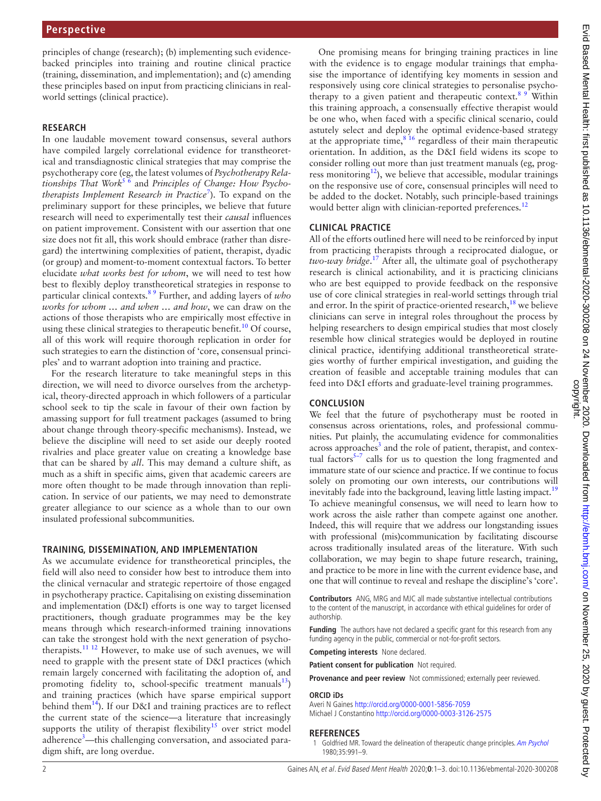principles of change (research); (b) implementing such evidencebacked principles into training and routine clinical practice (training, dissemination, and implementation); and (c) amending these principles based on input from practicing clinicians in realworld settings (clinical practice).

### **RESEARCH**

In one laudable movement toward consensus, several authors have compiled largely correlational evidence for transtheoretical and transdiagnostic clinical strategies that may comprise the psychotherapy core (eg, the latest volumes of *Psychotherapy Relationships That Work*[5 6](#page-2-3) and *Principles of Change: How Psychotherapists Implement Research in Practice*[7](#page-2-4) ). To expand on the preliminary support for these principles, we believe that future research will need to experimentally test their *causal* influences on patient improvement. Consistent with our assertion that one size does not fit all, this work should embrace (rather than disregard) the intertwining complexities of patient, therapist, dyadic (or group) and moment-to-moment contextual factors. To better elucidate *what works best for whom*, we will need to test how best to flexibly deploy transtheoretical strategies in response to particular clinical contexts.[8 9](#page-2-5) Further, and adding layers of *who works for whom … and when … and how*, we can draw on the actions of those therapists who are empirically most effective in using these clinical strategies to therapeutic benefit.<sup>[10](#page-2-6)</sup> Of course, all of this work will require thorough replication in order for such strategies to earn the distinction of 'core, consensual principles' and to warrant adoption into training and practice.

For the research literature to take meaningful steps in this direction, we will need to divorce ourselves from the archetypical, theory-directed approach in which followers of a particular school seek to tip the scale in favour of their own faction by amassing support for full treatment packages (assumed to bring about change through theory-specific mechanisms). Instead, we believe the discipline will need to set aside our deeply rooted rivalries and place greater value on creating a knowledge base that can be shared by *all*. This may demand a culture shift, as much as a shift in specific aims, given that academic careers are more often thought to be made through innovation than replication. In service of our patients, we may need to demonstrate greater allegiance to our science as a whole than to our own insulated professional subcommunities.

### **TRAINING, DISSEMINATION, AND IMPLEMENTATION**

As we accumulate evidence for transtheoretical principles, the field will also need to consider how best to introduce them into the clinical vernacular and strategic repertoire of those engaged in psychotherapy practice. Capitalising on existing dissemination and implementation (D&I) efforts is one way to target licensed practitioners, though graduate programmes may be the key means through which research-informed training innovations can take the strongest hold with the next generation of psychotherapists.<sup>11 12</sup> However, to make use of such avenues, we will need to grapple with the present state of D&I practices (which remain largely concerned with facilitating the adoption of, and promoting fidelity to, school-specific treatment manuals $^{13}$ ) and training practices (which have sparse empirical support behind them<sup>[14](#page-2-9)</sup>). If our D&I and training practices are to reflect the current state of the science—a literature that increasingly supports the utility of therapist flexibility<sup>15</sup> over strict model adherence<sup>3</sup>—this challenging conversation, and associated paradigm shift, are long overdue.

One promising means for bringing training practices in line with the evidence is to engage modular trainings that emphasise the importance of identifying key moments in session and responsively using core clinical strategies to personalise psychotherapy to a given patient and therapeutic context.<sup>8 9</sup> Within this training approach, a consensually effective therapist would be one who, when faced with a specific clinical scenario, could astutely select and deploy the optimal evidence-based strategy at the appropriate time, $8^{16}$  regardless of their main therapeutic orientation. In addition, as the D&I field widens its scope to consider rolling out more than just treatment manuals (eg, progress monitoring<sup>12</sup>), we believe that accessible, modular trainings on the responsive use of core, consensual principles will need to be added to the docket. Notably, such principle-based trainings would better align with clinician-reported preferences.<sup>[12](#page-2-11)</sup>

### **CLINICAL PRACTICE**

All of the efforts outlined here will need to be reinforced by input from practicing therapists through a reciprocated dialogue, or *two-way bridge*. [17](#page-2-12) After all, the ultimate goal of psychotherapy research is clinical actionability, and it is practicing clinicians who are best equipped to provide feedback on the responsive use of core clinical strategies in real-world settings through trial and error. In the spirit of practice-oriented research, $^{18}$  we believe clinicians can serve in integral roles throughout the process by helping researchers to design empirical studies that most closely resemble how clinical strategies would be deployed in routine clinical practice, identifying additional transtheoretical strategies worthy of further empirical investigation, and guiding the creation of feasible and acceptable training modules that can feed into D&I efforts and graduate-level training programmes.

### **CONCLUSION**

We feel that the future of psychotherapy must be rooted in consensus across orientations, roles, and professional communities. Put plainly, the accumulating evidence for commonalities across approaches<sup>[3](#page-2-1)</sup> and the role of patient, therapist, and contextual factors<sup>5–7</sup> calls for us to question the long fragmented and immature state of our science and practice. If we continue to focus solely on promoting our own interests, our contributions will inevitably fade into the background, leaving little lasting impact.<sup>[19](#page-2-14)</sup> To achieve meaningful consensus, we will need to learn how to work across the aisle rather than compete against one another. Indeed, this will require that we address our longstanding issues with professional (mis)communication by facilitating discourse across traditionally insulated areas of the literature. With such collaboration, we may begin to shape future research, training, and practice to be more in line with the current evidence base, and one that will continue to reveal and reshape the discipline's 'core'.

**Contributors** ANG, MRG and MJC all made substantive intellectual contributions to the content of the manuscript, in accordance with ethical guidelines for order of authorship.

**Funding** The authors have not declared a specific grant for this research from any funding agency in the public, commercial or not-for-profit sectors.

**Competing interests** None declared.

**Patient consent for publication** Not required.

### **Provenance and peer review** Not commissioned; externally peer reviewed.

### **ORCID iDs**

Averi N Gaines <http://orcid.org/0000-0001-5856-7059> Michael J Constantino <http://orcid.org/0000-0003-3126-2575>

### **REFERENCES**

<span id="page-1-0"></span>1 Goldfried MR. Toward the delineation of therapeutic change principles. [Am Psychol](http://dx.doi.org/10.1037/0003-066X.35.11.991) 1980;35:991–9.